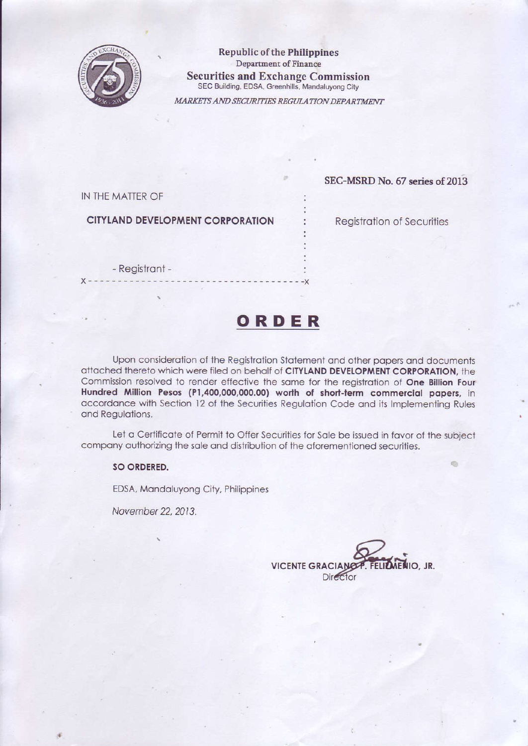

**Republic of the Philippines** Department of Finance **Securities and Exchange Commission** SEC Building, EDSA, Greenhills, Mandaluyong City

MARKETS AND SECURITIES REGULATION DEPARTMENT

### IN THE MATTER OF

### **CITYLAND DEVELOPMENT CORPORATION**

**Registration of Securities** 

SEC-MSRD No. 67 series of 2013

- Registrant -

 $X - - - -X$ 

## ORDER

Upon consideration of the Registration Statement and other papers and documents attached thereto which were filed on behalf of CITYLAND DEVELOPMENT CORPORATION, the Commission resolved to render effective the same for the registration of One Billion Four Hundred Million Pesos (P1,400,000,000.00) worth of short-term commercial papers, in accordance with Section 12 of the Securities Regulation Code and its Implementing Rules and Regulations.

Let a Certificate of Permit to Offer Securities for Sale be issued in favor of the subject company authorizing the sale and distribution of the aforementioned securities.

### SO ORDERED.

EDSA, Mandaluyong City, Philippines

November 22, 2013.

VICENTE GRACIANOP. FELIZMENIO, JR. **Director**